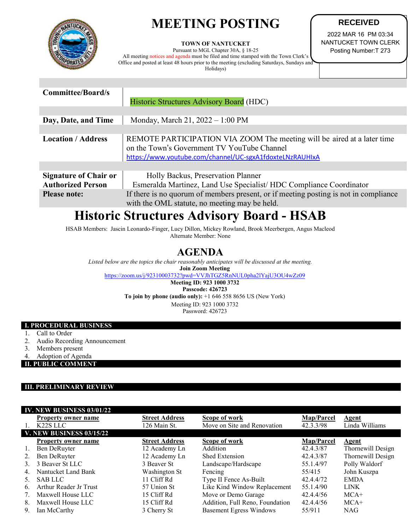# **MEETING POSTING**



**TOWN OF NANTUCKET** 

Pursuant to MGL Chapter 30A, § 18-25 All meeting notices and agenda must be filed and time stamped with the Town Clerk's Office and posted at least 48 hours prior to the meeting (excluding Saturdays, Sundays and Holidays)

**RECEIVED** 2022 MAR 16 PM 03:34

NANTUCKET TOWN CLERK Posting Number:T 273

| <b>Committee/Board/s</b>     |                                                                                                                                                                                    |  |  |  |
|------------------------------|------------------------------------------------------------------------------------------------------------------------------------------------------------------------------------|--|--|--|
|                              | Historic Structures Advisory Board (HDC)                                                                                                                                           |  |  |  |
|                              |                                                                                                                                                                                    |  |  |  |
| Day, Date, and Time          | Monday, March 21, 2022 - 1:00 PM                                                                                                                                                   |  |  |  |
|                              |                                                                                                                                                                                    |  |  |  |
| <b>Location / Address</b>    | REMOTE PARTICIPATION VIA ZOOM The meeting will be aired at a later time<br>on the Town's Government TV YouTube Channel<br>https://www.youtube.com/channel/UC-sgxA1fdoxteLNzRAUHIxA |  |  |  |
|                              |                                                                                                                                                                                    |  |  |  |
| <b>Signature of Chair or</b> | Holly Backus, Preservation Planner                                                                                                                                                 |  |  |  |
| <b>Authorized Person</b>     | Esmeralda Martinez, Land Use Specialist/HDC Compliance Coordinator                                                                                                                 |  |  |  |
| <b>Please note:</b>          | If there is no quorum of members present, or if meeting posting is not in compliance                                                                                               |  |  |  |
|                              | with the OML statute, no meeting may be held.                                                                                                                                      |  |  |  |

## **Historic Structures Advisory Board - HSAB**

HSAB Members: Jascin Leonardo-Finger, Lucy Dillon, Mickey Rowland, Brook Meerbergen, Angus Macleod Alternate Member: None

### **AGENDA**

*Listed below are the topics the chair reasonably anticipates will be discussed at the meeting.* **Join Zoom Meeting**

<https://zoom.us/j/92310003732?pwd=VVJhTGZ5RnNUL0pha2lYajU3OU4wZz09>

**Meeting ID: 923 1000 3732 Passcode: 426723 To join by phone (audio only):** +1 646 558 8656 US (New York) Meeting ID: 923 1000 3732 Password: 426723

#### **I. PROCEDURAL BUSINESS**

1. Call to Order

- 2. Audio Recording Announcement
- 3. Members present
- 4. Adoption of Agenda

**II. PUBLIC COMMENT**

#### **III. PRELIMINARY REVIEW**

|    | Property owner name        | <b>Street Address</b> | Scope of work                   | Map/Parcel | <b>Agent</b>      |
|----|----------------------------|-----------------------|---------------------------------|------------|-------------------|
| 1. | K <sub>22</sub> S LLC      | 126 Main St.          | Move on Site and Renovation     | 42.3.3/98  | Linda Williams    |
|    | V. NEW BUSINESS 03/15/22   |                       |                                 |            |                   |
|    | <b>Property owner name</b> | <b>Street Address</b> | Scope of work                   | Map/Parcel | <b>Agent</b>      |
| 1. | Ben DeRuyter               | 12 Academy Ln         | Addition                        | 42.4.3/87  | Thornewill Design |
| 2. | Ben DeRuyter               | 12 Academy Ln         | Shed Extension                  | 42.4.3/87  | Thornewill Design |
| 3. | 3 Beaver St LLC            | 3 Beaver St           | Landscape/Hardscape             | 55.1.4/97  | Polly Waldorf     |
| 4. | Nantucket Land Bank        | Washington St         | Fencing                         | 55/415     | John Kuszpa       |
| 5. | <b>SAB LLC</b>             | 11 Cliff Rd           | Type II Fence As-Built          | 42.4.4/72  | <b>EMDA</b>       |
| 6. | Arthur Reader Jr Trust     | 57 Union St           | Like Kind Window Replacement    | 55.1.4/90  | <b>LINK</b>       |
|    | Maxwell House LLC          | 15 Cliff Rd           | Move or Demo Garage             | 42.4.4/56  | $MCA+$            |
| 8. | Maxwell House LLC          | 15 Cliff Rd           | Addition, Full Reno, Foundation | 42.4.4/56  | $MCA+$            |
| 9. | Ian McCarthy               | 3 Cherry St           | <b>Basement Egress Windows</b>  | 55/911     | <b>NAG</b>        |